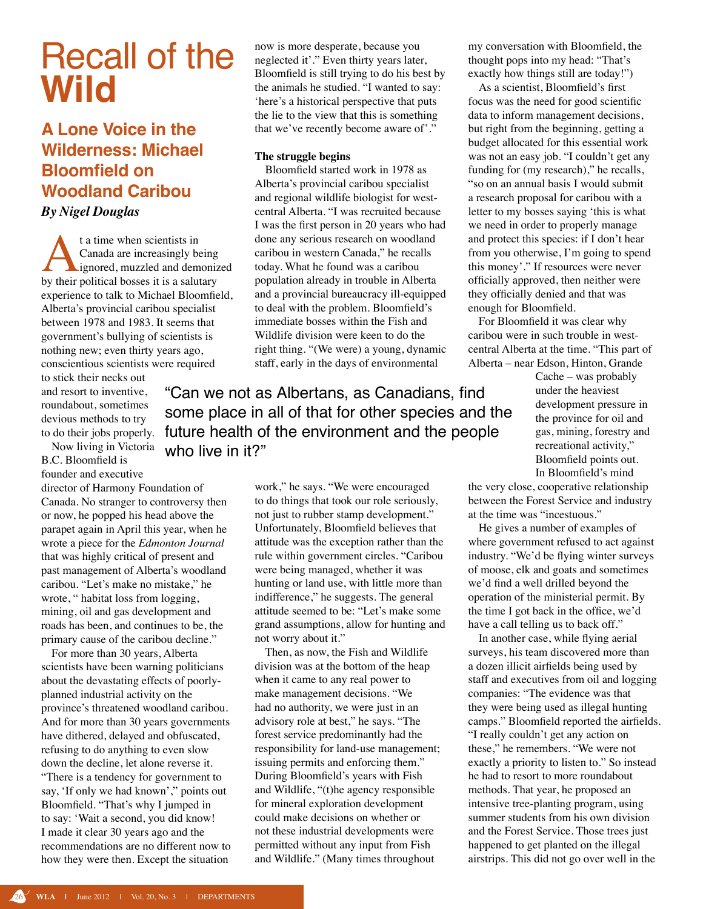# Recall of the **Wild**

# **A Lone Voice in the Wilderness: Michael Bloomfield on Woodland Caribou**

*By Nigel Douglas*

t a time when scientists in<br>Canada are increasingly be<br>by their political bosses it is a salut Canada are increasingly being ignored, muzzled and demonized by their political bosses it is a salutary experience to talk to Michael Bloomfield, Alberta's provincial caribou specialist between 1978 and 1983. It seems that government's bullying of scientists is nothing new; even thirty years ago, conscientious scientists were required

to stick their necks out and resort to inventive, roundabout, sometimes devious methods to try

Now living in Victoria B.C. Bloomfield is founder and executive

director of Harmony Foundation of Canada. No stranger to controversy then or now, he popped his head above the parapet again in April this year, when he wrote a piece for the *Edmonton Journal* that was highly critical of present and past management of Alberta's woodland caribou. "Let's make no mistake," he wrote, " habitat loss from logging, mining, oil and gas development and roads has been, and continues to be, the primary cause of the caribou decline."

For more than 30 years, Alberta scientists have been warning politicians about the devastating effects of poorlyplanned industrial activity on the province's threatened woodland caribou. And for more than 30 years governments have dithered, delayed and obfuscated, refusing to do anything to even slow down the decline, let alone reverse it. "There is a tendency for government to say, 'If only we had known'," points out Bloomfield. "That's why I jumped in to say: 'Wait a second, you did know! I made it clear 30 years ago and the recommendations are no different now to how they were then. Except the situation

now is more desperate, because you neglected it'." Even thirty years later, Bloomfield is still trying to do his best by the animals he studied. "I wanted to say: 'here's a historical perspective that puts the lie to the view that this is something that we've recently become aware of'."

# **The struggle begins**

 Bloomfield started work in 1978 as Alberta's provincial caribou specialist and regional wildlife biologist for westcentral Alberta. "I was recruited because I was the first person in 20 years who had done any serious research on woodland caribou in western Canada," he recalls today. What he found was a caribou population already in trouble in Alberta and a provincial bureaucracy ill-equipped to deal with the problem. Bloomfield's immediate bosses within the Fish and Wildlife division were keen to do the right thing. "(We were) a young, dynamic staff, early in the days of environmental

to do their jobs properly. future health of the environment and the people "Can we not as Albertans, as Canadians, find some place in all of that for other species and the who live in it?"

> work," he says. "We were encouraged to do things that took our role seriously, not just to rubber stamp development." Unfortunately, Bloomfield believes that attitude was the exception rather than the rule within government circles. "Caribou were being managed, whether it was hunting or land use, with little more than indifference," he suggests. The general attitude seemed to be: "Let's make some grand assumptions, allow for hunting and not worry about it."

 Then, as now, the Fish and Wildlife division was at the bottom of the heap when it came to any real power to make management decisions. "We had no authority, we were just in an advisory role at best," he says. "The forest service predominantly had the responsibility for land-use management; issuing permits and enforcing them." During Bloomfield's years with Fish and Wildlife, "(t)he agency responsible for mineral exploration development could make decisions on whether or not these industrial developments were permitted without any input from Fish and Wildlife." (Many times throughout

my conversation with Bloomfield, the thought pops into my head: "That's exactly how things still are today!")

As a scientist, Bloomfield's first focus was the need for good scientific data to inform management decisions, but right from the beginning, getting a budget allocated for this essential work was not an easy job. "I couldn't get any funding for (my research)," he recalls, "so on an annual basis I would submit a research proposal for caribou with a letter to my bosses saying 'this is what we need in order to properly manage and protect this species: if I don't hear from you otherwise, I'm going to spend this money'." If resources were never officially approved, then neither were they officially denied and that was enough for Bloomfield.

For Bloomfield it was clear why caribou were in such trouble in westcentral Alberta at the time. "This part of Alberta – near Edson, Hinton, Grande

> Cache – was probably under the heaviest development pressure in the province for oil and gas, mining, forestry and recreational activity," Bloomfield points out. In Bloomfield's mind

the very close, cooperative relationship between the Forest Service and industry at the time was "incestuous."

He gives a number of examples of where government refused to act against industry. "We'd be flying winter surveys of moose, elk and goats and sometimes we'd find a well drilled beyond the operation of the ministerial permit. By the time I got back in the office, we'd have a call telling us to back off."

 In another case, while flying aerial surveys, his team discovered more than a dozen illicit airfields being used by staff and executives from oil and logging companies: "The evidence was that they were being used as illegal hunting camps." Bloomfield reported the airfields. "I really couldn't get any action on these," he remembers. "We were not exactly a priority to listen to." So instead he had to resort to more roundabout methods. That year, he proposed an intensive tree-planting program, using summer students from his own division and the Forest Service. Those trees just happened to get planted on the illegal airstrips. This did not go over well in the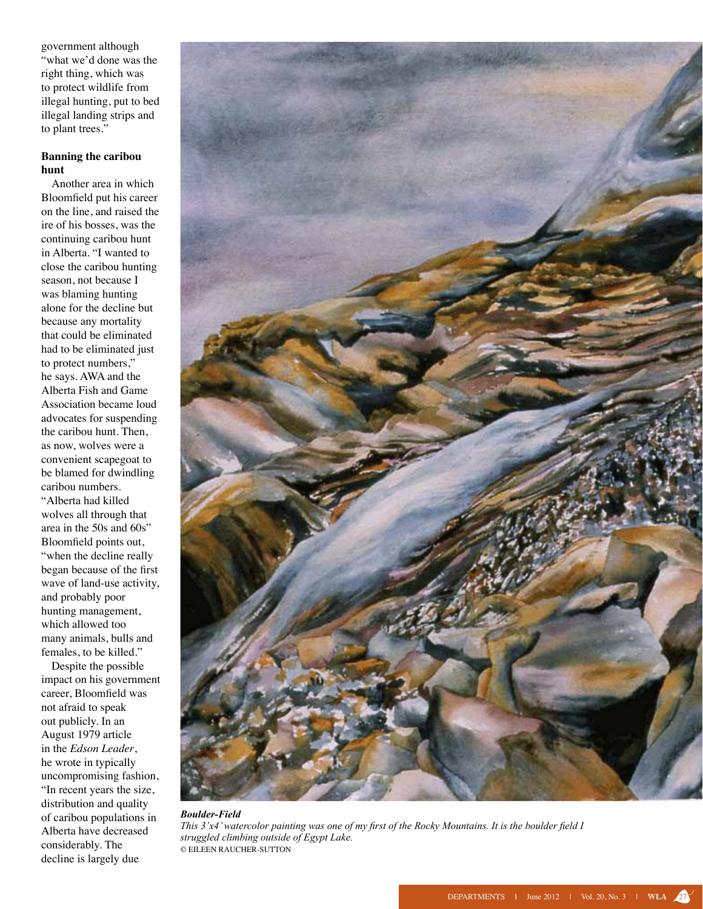government although "what we'd done was the right thing, which was to protect wildlife from illegal hunting, put to bed illegal landing strips and to plant trees."

## **Banning the caribou hunt**

Another area in which Bloomfield put his career on the line, and raised the ire of his bosses, was the continuing caribou hunt in Alberta. "I wanted to close the caribou hunting season, not because I was blaming hunting alone for the decline but because any mortality that could be eliminated had to be eliminated just to protect numbers," he says. AWA and the Alberta Fish and Game Association became loud advocates for suspending the caribou hunt. Then, as now, wolves were a convenient scapegoat to be blamed for dwindling caribou numbers. "Alberta had killed wolves all through that area in the 50s and 60s" Bloomfield points out, "when the decline really began because of the first wave of land-use activity, and probably poor hunting management, which allowed too many animals, bulls and females, to be killed."

 Despite the possible impact on his government career, Bloomfield was not afraid to speak out publicly. In an August 1979 article in the *Edson Leader*, he wrote in typically uncompromising fashion, "In recent years the size, distribution and quality of caribou populations in Alberta have decreased considerably. The decline is largely due



#### *Boulder-Field This 3'x4' watercolor painting was one of my first of the Rocky Mountains. It is the boulder field I struggled climbing outside of Egypt Lake.* © Eileen Raucher-Sutton